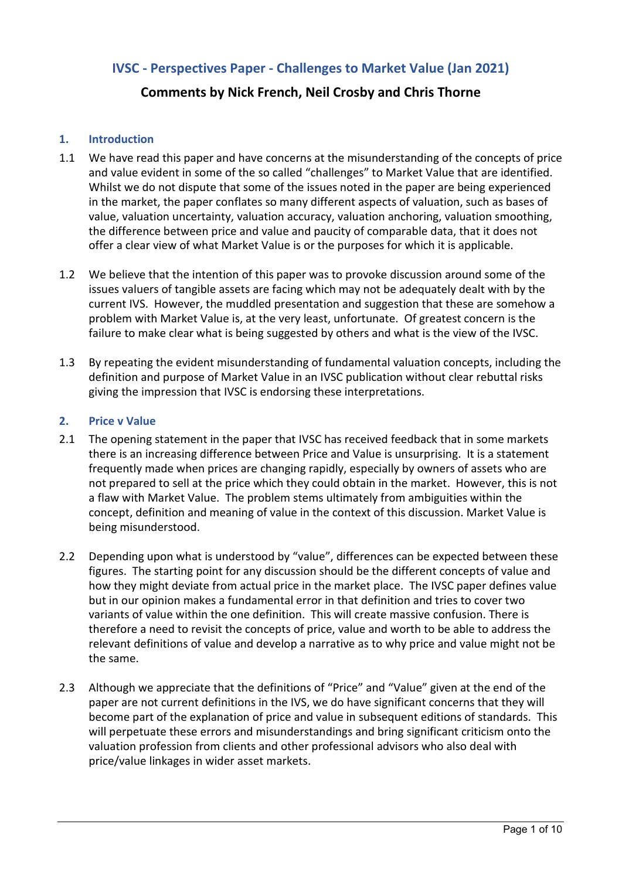# **IVSC - Perspectives Paper - Challenges to Market Value (Jan 2021)**

# **Comments by Nick French, Neil Crosby and Chris Thorne**

#### **1. Introduction**

- 1.1 We have read this paper and have concerns at the misunderstanding of the concepts of price and value evident in some of the so called "challenges" to Market Value that are identified. Whilst we do not dispute that some of the issues noted in the paper are being experienced in the market, the paper conflates so many different aspects of valuation, such as bases of value, valuation uncertainty, valuation accuracy, valuation anchoring, valuation smoothing, the difference between price and value and paucity of comparable data, that it does not offer a clear view of what Market Value is or the purposes for which it is applicable.
- 1.2 We believe that the intention of this paper was to provoke discussion around some of the issues valuers of tangible assets are facing which may not be adequately dealt with by the current IVS. However, the muddled presentation and suggestion that these are somehow a problem with Market Value is, at the very least, unfortunate. Of greatest concern is the failure to make clear what is being suggested by others and what is the view of the IVSC.
- 1.3 By repeating the evident misunderstanding of fundamental valuation concepts, including the definition and purpose of Market Value in an IVSC publication without clear rebuttal risks giving the impression that IVSC is endorsing these interpretations.

#### **2. Price v Value**

- 2.1 The opening statement in the paper that IVSC has received feedback that in some markets there is an increasing difference between Price and Value is unsurprising. It is a statement frequently made when prices are changing rapidly, especially by owners of assets who are not prepared to sell at the price which they could obtain in the market. However, this is not a flaw with Market Value. The problem stems ultimately from ambiguities within the concept, definition and meaning of value in the context of this discussion. Market Value is being misunderstood.
- 2.2 Depending upon what is understood by "value", differences can be expected between these figures. The starting point for any discussion should be the different concepts of value and how they might deviate from actual price in the market place. The IVSC paper defines value but in our opinion makes a fundamental error in that definition and tries to cover two variants of value within the one definition. This will create massive confusion. There is therefore a need to revisit the concepts of price, value and worth to be able to address the relevant definitions of value and develop a narrative as to why price and value might not be the same.
- 2.3 Although we appreciate that the definitions of "Price" and "Value" given at the end of the paper are not current definitions in the IVS, we do have significant concerns that they will become part of the explanation of price and value in subsequent editions of standards. This will perpetuate these errors and misunderstandings and bring significant criticism onto the valuation profession from clients and other professional advisors who also deal with price/value linkages in wider asset markets.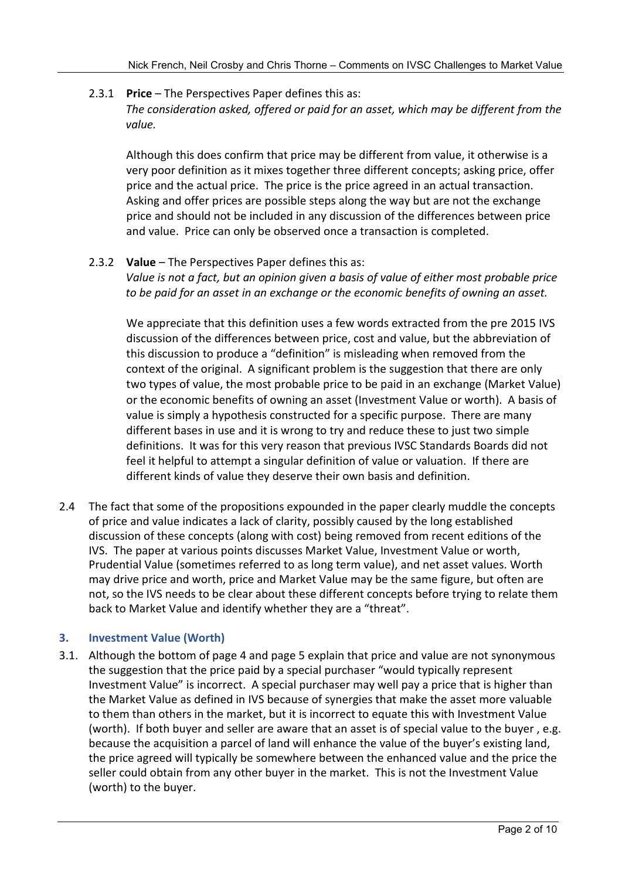## 2.3.1 **Price** – The Perspectives Paper defines this as:

*The consideration asked, offered or paid for an asset, which may be different from the value.* 

Although this does confirm that price may be different from value, it otherwise is a very poor definition as it mixes together three different concepts; asking price, offer price and the actual price. The price is the price agreed in an actual transaction. Asking and offer prices are possible steps along the way but are not the exchange price and should not be included in any discussion of the differences between price and value. Price can only be observed once a transaction is completed.

## 2.3.2 **Value** – The Perspectives Paper defines this as:

*Value is not a fact, but an opinion given a basis of value of either most probable price to be paid for an asset in an exchange or the economic benefits of owning an asset.* 

We appreciate that this definition uses a few words extracted from the pre 2015 IVS discussion of the differences between price, cost and value, but the abbreviation of this discussion to produce a "definition" is misleading when removed from the context of the original. A significant problem is the suggestion that there are only two types of value, the most probable price to be paid in an exchange (Market Value) or the economic benefits of owning an asset (Investment Value or worth). A basis of value is simply a hypothesis constructed for a specific purpose. There are many different bases in use and it is wrong to try and reduce these to just two simple definitions. It was for this very reason that previous IVSC Standards Boards did not feel it helpful to attempt a singular definition of value or valuation. If there are different kinds of value they deserve their own basis and definition.

2.4 The fact that some of the propositions expounded in the paper clearly muddle the concepts of price and value indicates a lack of clarity, possibly caused by the long established discussion of these concepts (along with cost) being removed from recent editions of the IVS. The paper at various points discusses Market Value, Investment Value or worth, Prudential Value (sometimes referred to as long term value), and net asset values. Worth may drive price and worth, price and Market Value may be the same figure, but often are not, so the IVS needs to be clear about these different concepts before trying to relate them back to Market Value and identify whether they are a "threat".

## **3. Investment Value (Worth)**

3.1. Although the bottom of page 4 and page 5 explain that price and value are not synonymous the suggestion that the price paid by a special purchaser "would typically represent Investment Value" is incorrect. A special purchaser may well pay a price that is higher than the Market Value as defined in IVS because of synergies that make the asset more valuable to them than others in the market, but it is incorrect to equate this with Investment Value (worth). If both buyer and seller are aware that an asset is of special value to the buyer , e.g. because the acquisition a parcel of land will enhance the value of the buyer's existing land, the price agreed will typically be somewhere between the enhanced value and the price the seller could obtain from any other buyer in the market. This is not the Investment Value (worth) to the buyer.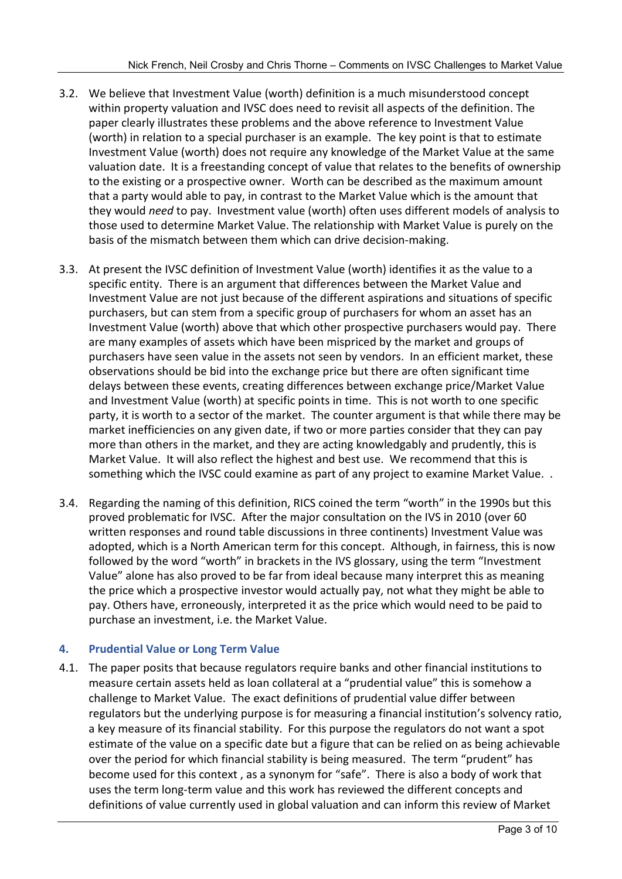- 3.2. We believe that Investment Value (worth) definition is a much misunderstood concept within property valuation and IVSC does need to revisit all aspects of the definition. The paper clearly illustrates these problems and the above reference to Investment Value (worth) in relation to a special purchaser is an example. The key point is that to estimate Investment Value (worth) does not require any knowledge of the Market Value at the same valuation date. It is a freestanding concept of value that relates to the benefits of ownership to the existing or a prospective owner. Worth can be described as the maximum amount that a party would able to pay, in contrast to the Market Value which is the amount that they would *need* to pay. Investment value (worth) often uses different models of analysis to those used to determine Market Value. The relationship with Market Value is purely on the basis of the mismatch between them which can drive decision-making.
- 3.3. At present the IVSC definition of Investment Value (worth) identifies it as the value to a specific entity. There is an argument that differences between the Market Value and Investment Value are not just because of the different aspirations and situations of specific purchasers, but can stem from a specific group of purchasers for whom an asset has an Investment Value (worth) above that which other prospective purchasers would pay. There are many examples of assets which have been mispriced by the market and groups of purchasers have seen value in the assets not seen by vendors. In an efficient market, these observations should be bid into the exchange price but there are often significant time delays between these events, creating differences between exchange price/Market Value and Investment Value (worth) at specific points in time. This is not worth to one specific party, it is worth to a sector of the market. The counter argument is that while there may be market inefficiencies on any given date, if two or more parties consider that they can pay more than others in the market, and they are acting knowledgably and prudently, this is Market Value. It will also reflect the highest and best use. We recommend that this is something which the IVSC could examine as part of any project to examine Market Value. .
- 3.4. Regarding the naming of this definition, RICS coined the term "worth" in the 1990s but this proved problematic for IVSC. After the major consultation on the IVS in 2010 (over 60 written responses and round table discussions in three continents) Investment Value was adopted, which is a North American term for this concept. Although, in fairness, this is now followed by the word "worth" in brackets in the IVS glossary, using the term "Investment Value" alone has also proved to be far from ideal because many interpret this as meaning the price which a prospective investor would actually pay, not what they might be able to pay. Others have, erroneously, interpreted it as the price which would need to be paid to purchase an investment, i.e. the Market Value.

## **4. Prudential Value or Long Term Value**

4.1. The paper posits that because regulators require banks and other financial institutions to measure certain assets held as loan collateral at a "prudential value" this is somehow a challenge to Market Value. The exact definitions of prudential value differ between regulators but the underlying purpose is for measuring a financial institution's solvency ratio, a key measure of its financial stability. For this purpose the regulators do not want a spot estimate of the value on a specific date but a figure that can be relied on as being achievable over the period for which financial stability is being measured. The term "prudent" has become used for this context , as a synonym for "safe". There is also a body of work that uses the term long-term value and this work has reviewed the different concepts and definitions of value currently used in global valuation and can inform this review of Market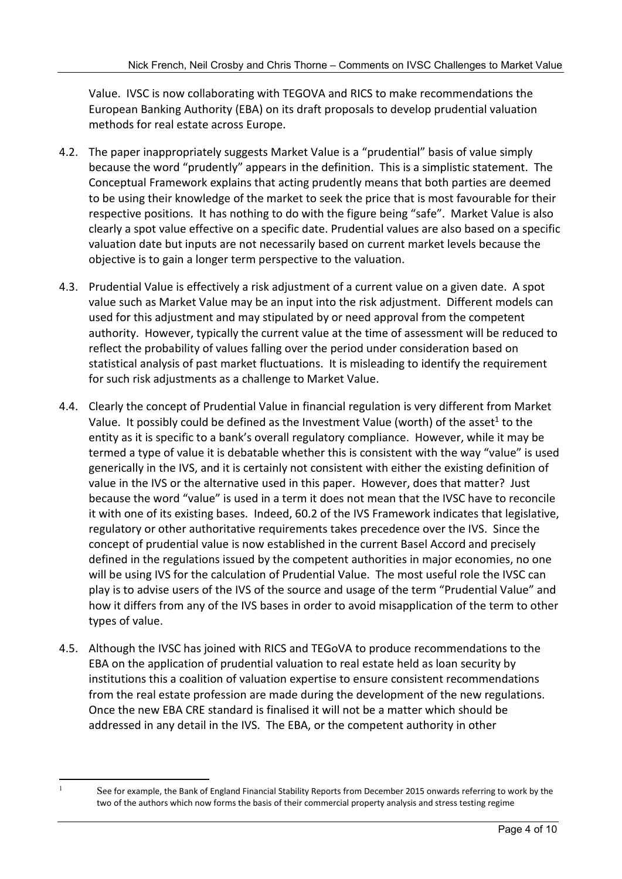Value. IVSC is now collaborating with TEGOVA and RICS to make recommendations the European Banking Authority (EBA) on its draft proposals to develop prudential valuation methods for real estate across Europe.

- 4.2. The paper inappropriately suggests Market Value is a "prudential" basis of value simply because the word "prudently" appears in the definition. This is a simplistic statement. The Conceptual Framework explains that acting prudently means that both parties are deemed to be using their knowledge of the market to seek the price that is most favourable for their respective positions. It has nothing to do with the figure being "safe". Market Value is also clearly a spot value effective on a specific date. Prudential values are also based on a specific valuation date but inputs are not necessarily based on current market levels because the objective is to gain a longer term perspective to the valuation.
- 4.3. Prudential Value is effectively a risk adjustment of a current value on a given date. A spot value such as Market Value may be an input into the risk adjustment. Different models can used for this adjustment and may stipulated by or need approval from the competent authority. However, typically the current value at the time of assessment will be reduced to reflect the probability of values falling over the period under consideration based on statistical analysis of past market fluctuations. It is misleading to identify the requirement for such risk adjustments as a challenge to Market Value.
- 4.4. Clearly the concept of Prudential Value in financial regulation is very different from Market Value. It possibly could be defined as the Investment Value (worth) of th[e asset](#page-3-0)<sup>1</sup> to the entity as it is specific to a bank's overall regulatory compliance. However, while it may be termed a type of value it is debatable whether this is consistent with the way "value" is used generically in the IVS, and it is certainly not consistent with either the existing definition of value in the IVS or the alternative used in this paper. However, does that matter? Just because the word "value" is used in a term it does not mean that the IVSC have to reconcile it with one of its existing bases. Indeed, 60.2 of the IVS Framework indicates that legislative, regulatory or other authoritative requirements takes precedence over the IVS. Since the concept of prudential value is now established in the current Basel Accord and precisely defined in the regulations issued by the competent authorities in major economies, no one will be using IVS for the calculation of Prudential Value. The most useful role the IVSC can play is to advise users of the IVS of the source and usage of the term "Prudential Value" and how it differs from any of the IVS bases in order to avoid misapplication of the term to other types of value.
- 4.5. Although the IVSC has joined with RICS and TEGoVA to produce recommendations to the EBA on the application of prudential valuation to real estate held as loan security by institutions this a coalition of valuation expertise to ensure consistent recommendations from the real estate profession are made during the development of the new regulations. Once the new EBA CRE standard is finalised it will not be a matter which should be addressed in any detail in the IVS. The EBA, or the competent authority in other

<span id="page-3-0"></span><sup>1</sup>

See for example, the Bank of England Financial Stability Reports from December 2015 onwards referring to work by the two of the authors which now forms the basis of their commercial property analysis and stress testing regime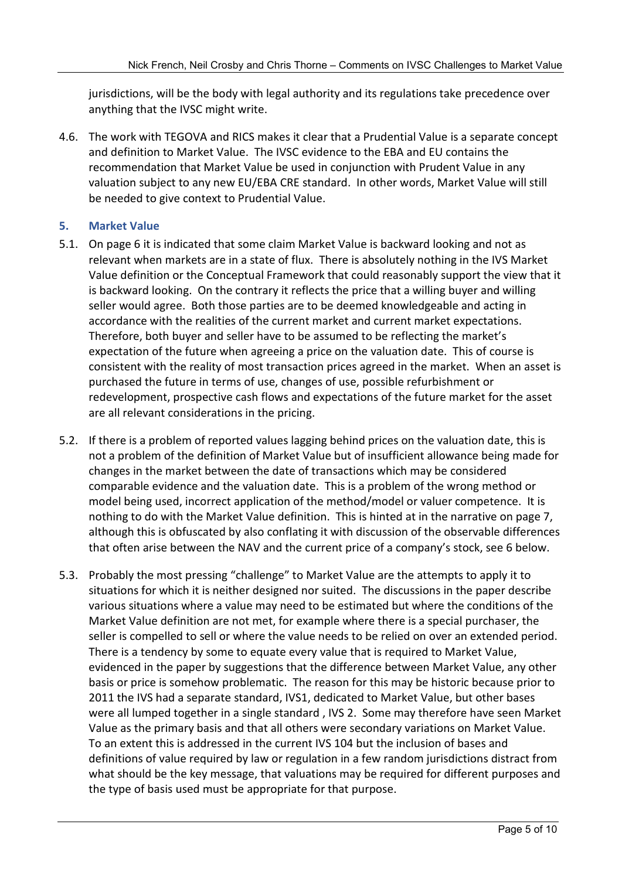jurisdictions, will be the body with legal authority and its regulations take precedence over anything that the IVSC might write.

4.6. The work with TEGOVA and RICS makes it clear that a Prudential Value is a separate concept and definition to Market Value. The IVSC evidence to the EBA and EU contains the recommendation that Market Value be used in conjunction with Prudent Value in any valuation subject to any new EU/EBA CRE standard. In other words, Market Value will still be needed to give context to Prudential Value.

## **5. Market Value**

- 5.1. On page 6 it is indicated that some claim Market Value is backward looking and not as relevant when markets are in a state of flux. There is absolutely nothing in the IVS Market Value definition or the Conceptual Framework that could reasonably support the view that it is backward looking. On the contrary it reflects the price that a willing buyer and willing seller would agree. Both those parties are to be deemed knowledgeable and acting in accordance with the realities of the current market and current market expectations. Therefore, both buyer and seller have to be assumed to be reflecting the market's expectation of the future when agreeing a price on the valuation date. This of course is consistent with the reality of most transaction prices agreed in the market. When an asset is purchased the future in terms of use, changes of use, possible refurbishment or redevelopment, prospective cash flows and expectations of the future market for the asset are all relevant considerations in the pricing.
- 5.2. If there is a problem of reported values lagging behind prices on the valuation date, this is not a problem of the definition of Market Value but of insufficient allowance being made for changes in the market between the date of transactions which may be considered comparable evidence and the valuation date. This is a problem of the wrong method or model being used, incorrect application of the method/model or valuer competence. It is nothing to do with the Market Value definition. This is hinted at in the narrative on page 7, although this is obfuscated by also conflating it with discussion of the observable differences that often arise between the NAV and the current price of a company's stock, see 6 below.
- 5.3. Probably the most pressing "challenge" to Market Value are the attempts to apply it to situations for which it is neither designed nor suited. The discussions in the paper describe various situations where a value may need to be estimated but where the conditions of the Market Value definition are not met, for example where there is a special purchaser, the seller is compelled to sell or where the value needs to be relied on over an extended period. There is a tendency by some to equate every value that is required to Market Value, evidenced in the paper by suggestions that the difference between Market Value, any other basis or price is somehow problematic. The reason for this may be historic because prior to 2011 the IVS had a separate standard, IVS1, dedicated to Market Value, but other bases were all lumped together in a single standard , IVS 2. Some may therefore have seen Market Value as the primary basis and that all others were secondary variations on Market Value. To an extent this is addressed in the current IVS 104 but the inclusion of bases and definitions of value required by law or regulation in a few random jurisdictions distract from what should be the key message, that valuations may be required for different purposes and the type of basis used must be appropriate for that purpose.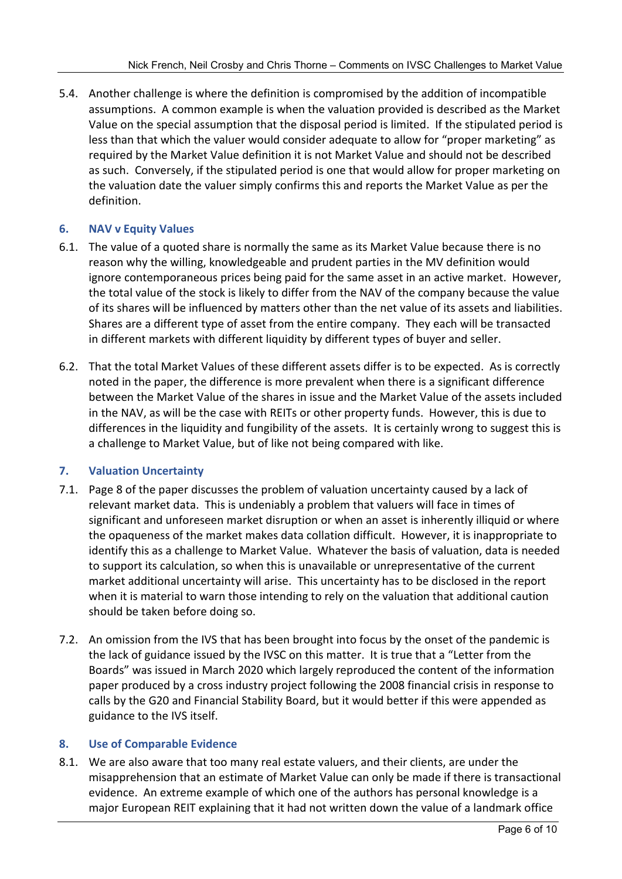5.4. Another challenge is where the definition is compromised by the addition of incompatible assumptions. A common example is when the valuation provided is described as the Market Value on the special assumption that the disposal period is limited. If the stipulated period is less than that which the valuer would consider adequate to allow for "proper marketing" as required by the Market Value definition it is not Market Value and should not be described as such. Conversely, if the stipulated period is one that would allow for proper marketing on the valuation date the valuer simply confirms this and reports the Market Value as per the definition.

## **6. NAV v Equity Values**

- 6.1. The value of a quoted share is normally the same as its Market Value because there is no reason why the willing, knowledgeable and prudent parties in the MV definition would ignore contemporaneous prices being paid for the same asset in an active market. However, the total value of the stock is likely to differ from the NAV of the company because the value of its shares will be influenced by matters other than the net value of its assets and liabilities. Shares are a different type of asset from the entire company. They each will be transacted in different markets with different liquidity by different types of buyer and seller.
- 6.2. That the total Market Values of these different assets differ is to be expected. As is correctly noted in the paper, the difference is more prevalent when there is a significant difference between the Market Value of the shares in issue and the Market Value of the assets included in the NAV, as will be the case with REITs or other property funds. However, this is due to differences in the liquidity and fungibility of the assets. It is certainly wrong to suggest this is a challenge to Market Value, but of like not being compared with like.

## **7. Valuation Uncertainty**

- 7.1. Page 8 of the paper discusses the problem of valuation uncertainty caused by a lack of relevant market data. This is undeniably a problem that valuers will face in times of significant and unforeseen market disruption or when an asset is inherently illiquid or where the opaqueness of the market makes data collation difficult. However, it is inappropriate to identify this as a challenge to Market Value. Whatever the basis of valuation, data is needed to support its calculation, so when this is unavailable or unrepresentative of the current market additional uncertainty will arise. This uncertainty has to be disclosed in the report when it is material to warn those intending to rely on the valuation that additional caution should be taken before doing so.
- 7.2. An omission from the IVS that has been brought into focus by the onset of the pandemic is the lack of guidance issued by the IVSC on this matter. It is true that a "Letter from the Boards" was issued in March 2020 which largely reproduced the content of the information paper produced by a cross industry project following the 2008 financial crisis in response to calls by the G20 and Financial Stability Board, but it would better if this were appended as guidance to the IVS itself.

#### **8. Use of Comparable Evidence**

8.1. We are also aware that too many real estate valuers, and their clients, are under the misapprehension that an estimate of Market Value can only be made if there is transactional evidence. An extreme example of which one of the authors has personal knowledge is a major European REIT explaining that it had not written down the value of a landmark office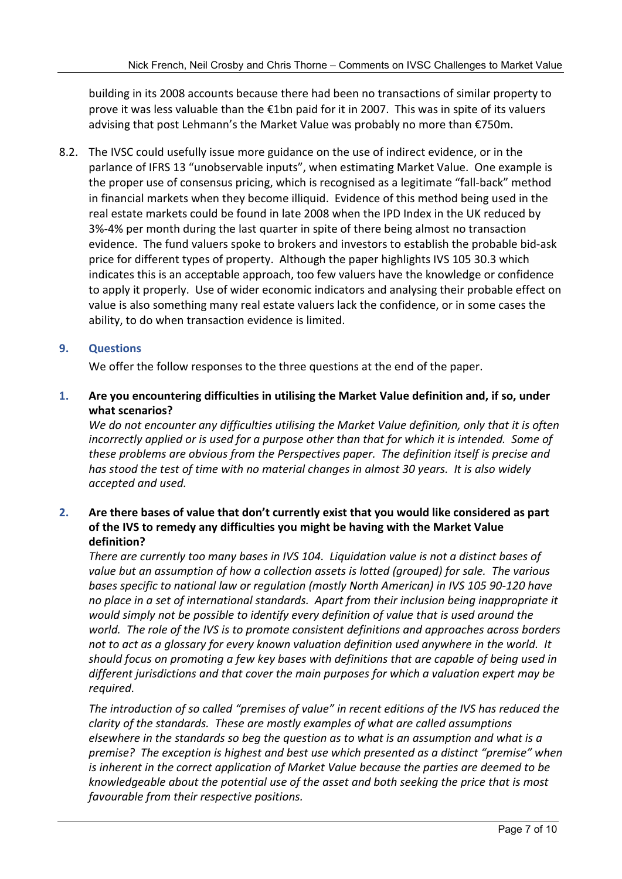building in its 2008 accounts because there had been no transactions of similar property to prove it was less valuable than the €1bn paid for it in 2007. This was in spite of its valuers advising that post Lehmann's the Market Value was probably no more than €750m.

8.2. The IVSC could usefully issue more guidance on the use of indirect evidence, or in the parlance of IFRS 13 "unobservable inputs", when estimating Market Value. One example is the proper use of consensus pricing, which is recognised as a legitimate "fall-back" method in financial markets when they become illiquid. Evidence of this method being used in the real estate markets could be found in late 2008 when the IPD Index in the UK reduced by 3%-4% per month during the last quarter in spite of there being almost no transaction evidence. The fund valuers spoke to brokers and investors to establish the probable bid-ask price for different types of property. Although the paper highlights IVS 105 30.3 which indicates this is an acceptable approach, too few valuers have the knowledge or confidence to apply it properly. Use of wider economic indicators and analysing their probable effect on value is also something many real estate valuers lack the confidence, or in some cases the ability, to do when transaction evidence is limited.

## **9. Questions**

We offer the follow responses to the three questions at the end of the paper.

**1. Are you encountering difficulties in utilising the Market Value definition and, if so, under what scenarios?** 

*We do not encounter any difficulties utilising the Market Value definition, only that it is often incorrectly applied or is used for a purpose other than that for which it is intended. Some of these problems are obvious from the Perspectives paper. The definition itself is precise and has stood the test of time with no material changes in almost 30 years. It is also widely accepted and used.* 

## **2. Are there bases of value that don't currently exist that you would like considered as part of the IVS to remedy any difficulties you might be having with the Market Value definition?**

*There are currently too many bases in IVS 104. Liquidation value is not a distinct bases of value but an assumption of how a collection assets is lotted (grouped) for sale. The various bases specific to national law or regulation (mostly North American) in IVS 105 90-120 have no place in a set of international standards. Apart from their inclusion being inappropriate it would simply not be possible to identify every definition of value that is used around the world. The role of the IVS is to promote consistent definitions and approaches across borders not to act as a glossary for every known valuation definition used anywhere in the world. It should focus on promoting a few key bases with definitions that are capable of being used in different jurisdictions and that cover the main purposes for which a valuation expert may be required.* 

*The introduction of so called "premises of value" in recent editions of the IVS has reduced the clarity of the standards. These are mostly examples of what are called assumptions elsewhere in the standards so beg the question as to what is an assumption and what is a premise? The exception is highest and best use which presented as a distinct "premise" when is inherent in the correct application of Market Value because the parties are deemed to be knowledgeable about the potential use of the asset and both seeking the price that is most favourable from their respective positions.*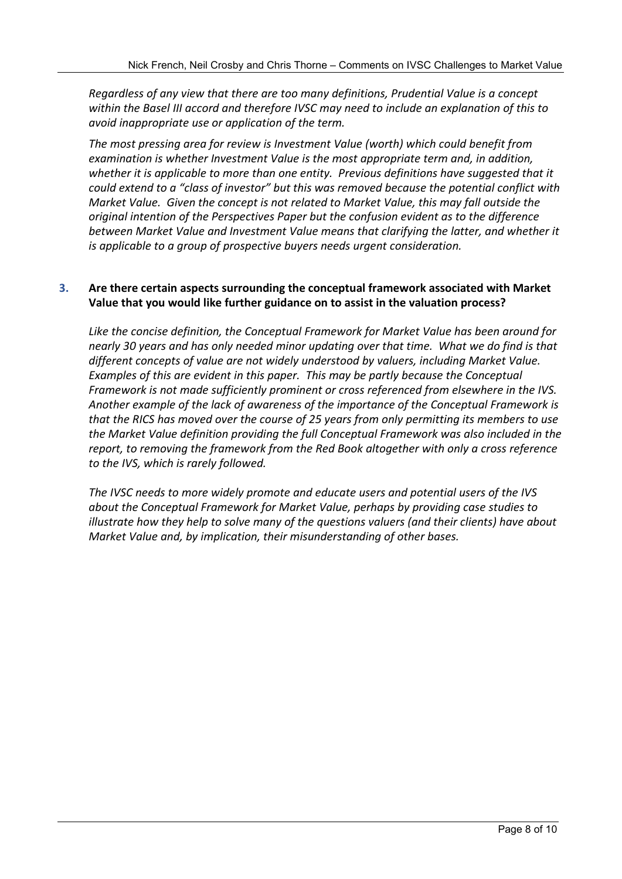*Regardless of any view that there are too many definitions, Prudential Value is a concept within the Basel III accord and therefore IVSC may need to include an explanation of this to avoid inappropriate use or application of the term.*

*The most pressing area for review is Investment Value (worth) which could benefit from examination is whether Investment Value is the most appropriate term and, in addition, whether it is applicable to more than one entity. Previous definitions have suggested that it could extend to a "class of investor" but this was removed because the potential conflict with Market Value. Given the concept is not related to Market Value, this may fall outside the original intention of the Perspectives Paper but the confusion evident as to the difference between Market Value and Investment Value means that clarifying the latter, and whether it is applicable to a group of prospective buyers needs urgent consideration.* 

#### **3. Are there certain aspects surrounding the conceptual framework associated with Market Value that you would like further guidance on to assist in the valuation process?**

*Like the concise definition, the Conceptual Framework for Market Value has been around for nearly 30 years and has only needed minor updating over that time. What we do find is that different concepts of value are not widely understood by valuers, including Market Value. Examples of this are evident in this paper. This may be partly because the Conceptual Framework is not made sufficiently prominent or cross referenced from elsewhere in the IVS. Another example of the lack of awareness of the importance of the Conceptual Framework is that the RICS has moved over the course of 25 years from only permitting its members to use the Market Value definition providing the full Conceptual Framework was also included in the report, to removing the framework from the Red Book altogether with only a cross reference to the IVS, which is rarely followed.* 

*The IVSC needs to more widely promote and educate users and potential users of the IVS about the Conceptual Framework for Market Value, perhaps by providing case studies to illustrate how they help to solve many of the questions valuers (and their clients) have about Market Value and, by implication, their misunderstanding of other bases.*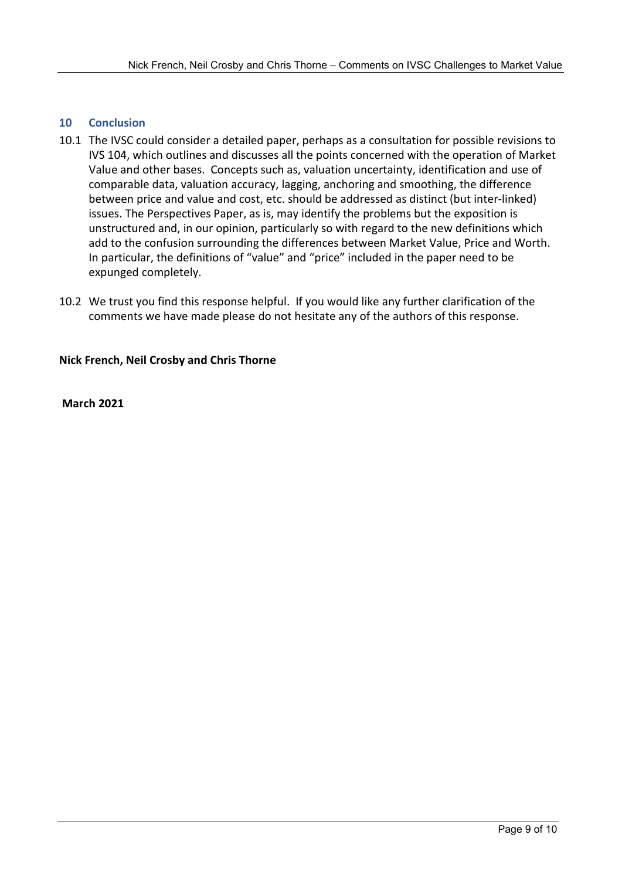#### **10 Conclusion**

- 10.1 The IVSC could consider a detailed paper, perhaps as a consultation for possible revisions to IVS 104, which outlines and discusses all the points concerned with the operation of Market Value and other bases. Concepts such as, valuation uncertainty, identification and use of comparable data, valuation accuracy, lagging, anchoring and smoothing, the difference between price and value and cost, etc. should be addressed as distinct (but inter-linked) issues. The Perspectives Paper, as is, may identify the problems but the exposition is unstructured and, in our opinion, particularly so with regard to the new definitions which add to the confusion surrounding the differences between Market Value, Price and Worth. In particular, the definitions of "value" and "price" included in the paper need to be expunged completely.
- 10.2 We trust you find this response helpful. If you would like any further clarification of the comments we have made please do not hesitate any of the authors of this response.

#### **Nick French, Neil Crosby and Chris Thorne**

 **March 2021**